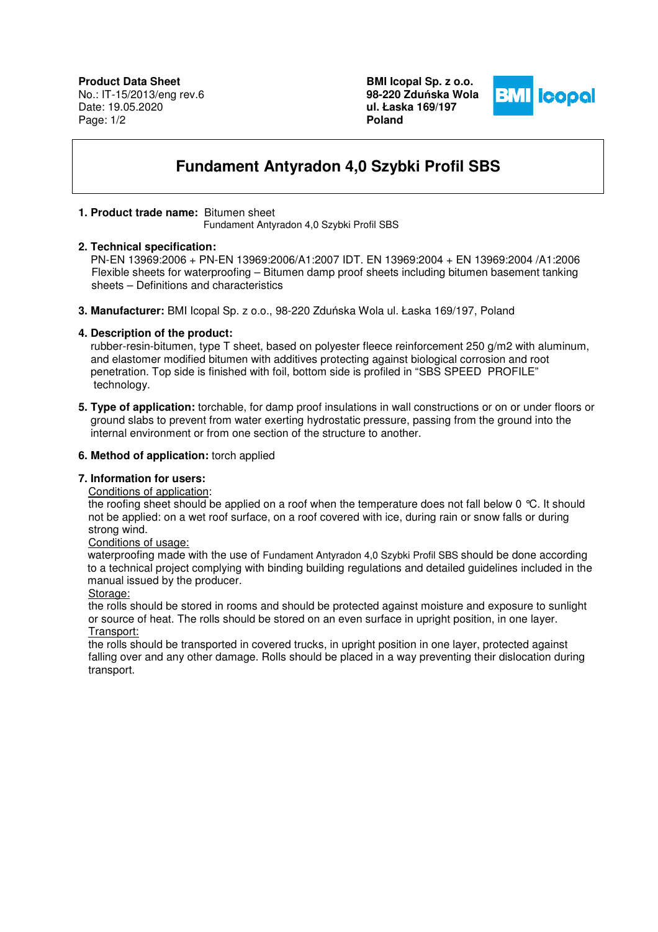**Product Data Sheet** No.: IT-15/2013/eng rev.6 Date: 19.05.2020 Page: 1/2

**BMI Icopal Sp. z o.o. 98-220 Zdu**ń**ska Wola ul. Łaska 169/197 Poland** 



# **Fundament Antyradon 4,0 Szybki Profil SBS**

## **1. Product trade name:** Bitumen sheet

Fundament Antyradon 4,0 Szybki Profil SBS

#### **2. Technical specification:**

 PN-EN 13969:2006 + PN-EN 13969:2006/A1:2007 IDT. EN 13969:2004 + EN 13969:2004 /A1:2006 Flexible sheets for waterproofing – Bitumen damp proof sheets including bitumen basement tanking sheets – Definitions and characteristics

**3. Manufacturer:** BMI Icopal Sp. z o.o., 98-220 Zduńska Wola ul. Łaska 169/197, Poland

## **4. Description of the product:**

 rubber-resin-bitumen, type T sheet, based on polyester fleece reinforcement 250 g/m2 with aluminum, and elastomer modified bitumen with additives protecting against biological corrosion and root penetration. Top side is finished with foil, bottom side is profiled in "SBS SPEED PROFILE" technology.

**5. Type of application:** torchable, for damp proof insulations in wall constructions or on or under floors or ground slabs to prevent from water exerting hydrostatic pressure, passing from the ground into the internal environment or from one section of the structure to another.

#### **6. Method of application:** torch applied

## **7. Information for users:**

## Conditions of application:

the roofing sheet should be applied on a roof when the temperature does not fall below 0 °C. It should not be applied: on a wet roof surface, on a roof covered with ice, during rain or snow falls or during strong wind.

#### Conditions of usage:

 waterproofing made with the use of Fundament Antyradon 4,0 Szybki Profil SBS should be done according to a technical project complying with binding building regulations and detailed guidelines included in the manual issued by the producer.

#### Storage:

the rolls should be stored in rooms and should be protected against moisture and exposure to sunlight or source of heat. The rolls should be stored on an even surface in upright position, in one layer. Transport:

the rolls should be transported in covered trucks, in upright position in one layer, protected against falling over and any other damage. Rolls should be placed in a way preventing their dislocation during transport.